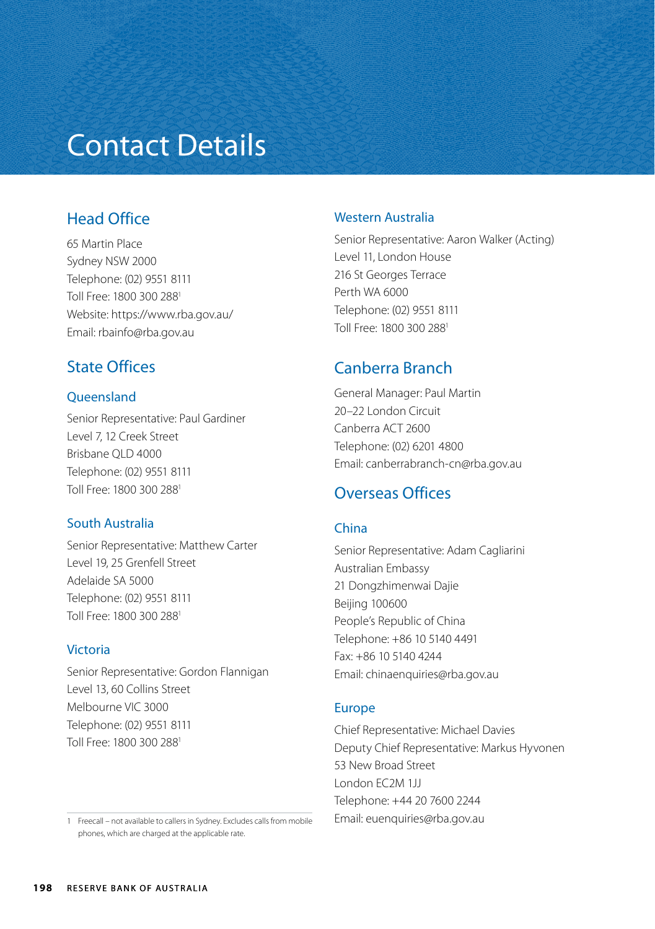# Contact Details

## Head Office

65 Martin Place Sydney NSW 2000 Telephone: (02) 9551 8111 Toll Free: 1800 300 2881 Website: https://www.rba.gov.au/ Email: rbainfo@rba.gov.au

## State Offices

#### **Queensland**

Senior Representative: Paul Gardiner Level 7, 12 Creek Street Brisbane QLD 4000 Telephone: (02) 9551 8111 Toll Free: 1800 300 2881

#### South Australia

Senior Representative: Matthew Carter Level 19, 25 Grenfell Street Adelaide SA 5000 Telephone: (02) 9551 8111 Toll Free: 1800 300 2881

#### Victoria

Senior Representative: Gordon Flannigan Level 13, 60 Collins Street Melbourne VIC 3000 Telephone: (02) 9551 8111 Toll Free: 1800 300 2881

1 Freecall – not available to callers in Sydney. Excludes calls from mobile phones, which are charged at the applicable rate.

### Western Australia

Senior Representative: Aaron Walker (Acting) Level 11, London House 216 St Georges Terrace Perth WA 6000 Telephone: (02) 9551 8111 Toll Free: 1800 300 2881

## Canberra Branch

General Manager: Paul Martin 20–22 London Circuit Canberra ACT 2600 Telephone: (02) 6201 4800 Email: canberrabranch-cn@rba.gov.au

## Overseas Offices

#### China

Senior Representative: Adam Cagliarini Australian Embassy 21 Dongzhimenwai Dajie Beijing 100600 People's Republic of China Telephone: +86 10 5140 4491 Fax: +86 10 5140 4244 Email: chinaenquiries@rba.gov.au

#### Europe

Chief Representative: Michael Davies Deputy Chief Representative: Markus Hyvonen 53 New Broad Street London EC2M 1JJ Telephone: +44 20 7600 2244 Email: euenquiries@rba.gov.au